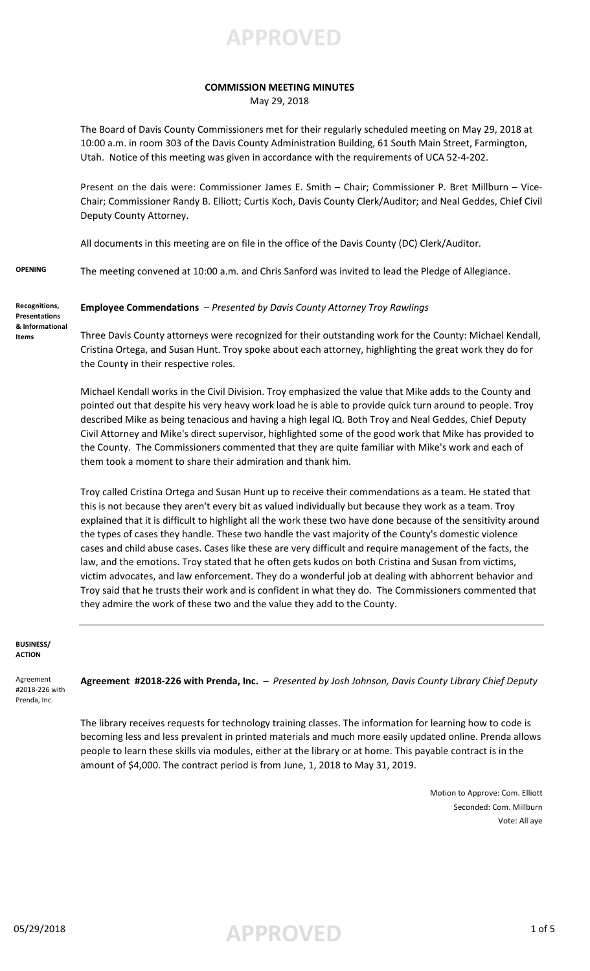**APPROVED**

#### **COMMISSION MEETING MINUTES** May 29, 2018

The Board of Davis County Commissioners met for their regularly scheduled meeting on May 29, 2018 at 10:00 a.m. in room 303 of the Davis County Administration Building, 61 South Main Street, Farmington, Utah. Notice of this meeting was given in accordance with the requirements of UCA 52-4-202.

Present on the dais were: Commissioner James E. Smith – Chair; Commissioner P. Bret Millburn – Vice-Chair; Commissioner Randy B. Elliott; Curtis Koch, Davis County Clerk/Auditor; and Neal Geddes, Chief Civil Deputy County Attorney.

All documents in this meeting are on file in the office of the Davis County (DC) Clerk/Auditor.

**OPENING** The meeting convened at 10:00 a.m. and Chris Sanford was invited to lead the Pledge of Allegiance.

**Recognitions, Presentations & Informational Items**

**Employee Commendations** – *Presented by Davis County Attorney Troy Rawlings*

Three Davis County attorneys were recognized for their outstanding work for the County: Michael Kendall, Cristina Ortega, and Susan Hunt. Troy spoke about each attorney, highlighting the great work they do for the County in their respective roles.

Michael Kendall works in the Civil Division. Troy emphasized the value that Mike adds to the County and pointed out that despite his very heavy work load he is able to provide quick turn around to people. Troy described Mike as being tenacious and having a high legal IQ. Both Troy and Neal Geddes, Chief Deputy Civil Attorney and Mike's direct supervisor, highlighted some of the good work that Mike has provided to the County. The Commissioners commented that they are quite familiar with Mike's work and each of them took a moment to share their admiration and thank him.

Troy called Cristina Ortega and Susan Hunt up to receive their commendations as a team. He stated that this is not because they aren't every bit as valued individually but because they work as a team. Troy explained that it is difficult to highlight all the work these two have done because of the sensitivity around the types of cases they handle. These two handle the vast majority of the County's domestic violence cases and child abuse cases. Cases like these are very difficult and require management of the facts, the law, and the emotions. Troy stated that he often gets kudos on both Cristina and Susan from victims, victim advocates, and law enforcement. They do a wonderful job at dealing with abhorrent behavior and Troy said that he trusts their work and is confident in what they do. The Commissioners commented that they admire the work of these two and the value they add to the County.

#### **BUSINESS/ ACTION**

**Agreement #2018-226 with Prenda, Inc.** – *Presented by Josh Johnson, Davis County Library Chief Deputy*

The library receives requests for technology training classes. The information for learning how to code is becoming less and less prevalent in printed materials and much more easily updated online. Prenda allows people to learn these skills via modules, either at the library or at home. This payable contract is in the amount of \$4,000. The contract period is from June, 1, 2018 to May 31, 2019.

> Motion to Approve: Com. Elliott Seconded: Com. Millburn Vote: All aye

Agreement #2018-226 with Prenda, Inc.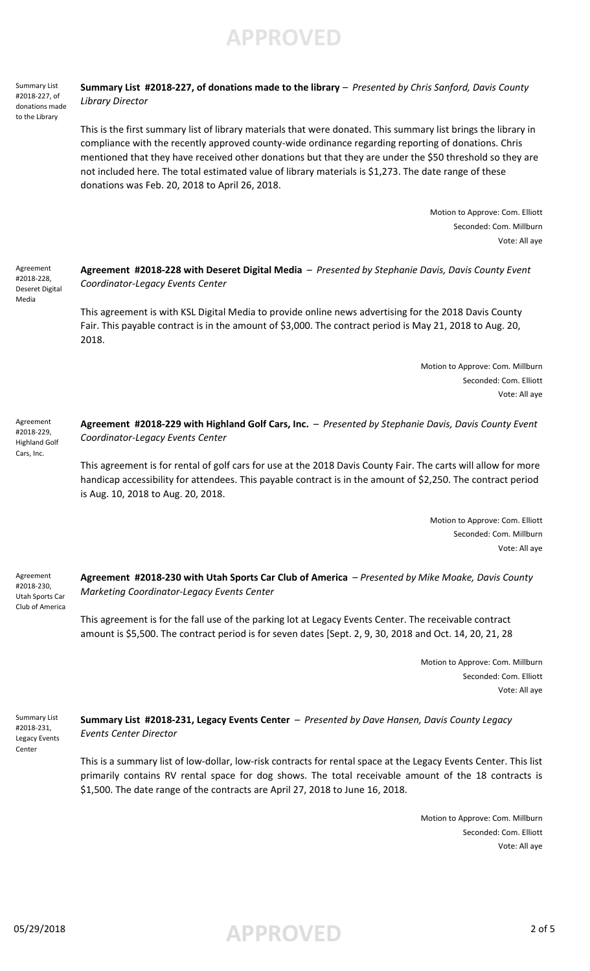**APPROVED**

**Summary List #2018-227, of donations made to the library** – *Presented by Chris Sanford, Davis County Library Director* Summary List #2018-227, of donations made

> This is the first summary list of library materials that were donated. This summary list brings the library in compliance with the recently approved county-wide ordinance regarding reporting of donations. Chris mentioned that they have received other donations but that they are under the \$50 threshold so they are not included here. The total estimated value of library materials is \$1,273. The date range of these donations was Feb. 20, 2018 to April 26, 2018.

> > Motion to Approve: Com. Elliott Seconded: Com. Millburn Vote: All aye

**Agreement #2018-228 with Deseret Digital Media** – *Presented by Stephanie Davis, Davis County Event Coordinator-Legacy Events Center* Deseret Digital

> This agreement is with KSL Digital Media to provide online news advertising for the 2018 Davis County Fair. This payable contract is in the amount of \$3,000. The contract period is May 21, 2018 to Aug. 20, 2018.

> > Motion to Approve: Com. Millburn Seconded: Com. Elliott Vote: All aye

**Agreement #2018-229 with Highland Golf Cars, Inc.** – *Presented by Stephanie Davis, Davis County Event Coordinator-Legacy Events Center*

This agreement is for rental of golf cars for use at the 2018 Davis County Fair. The carts will allow for more handicap accessibility for attendees. This payable contract is in the amount of \$2,250. The contract period is Aug. 10, 2018 to Aug. 20, 2018.

> Motion to Approve: Com. Elliott Seconded: Com. Millburn Vote: All aye

**Agreement #2018-230 with Utah Sports Car Club of America** – *Presented by Mike Moake, Davis County Marketing Coordinator-Legacy Events Center*  Agreement #2018-230, Utah Sports Car

> This agreement is for the fall use of the parking lot at Legacy Events Center. The receivable contract amount is \$5,500. The contract period is for seven dates [Sept. 2, 9, 30, 2018 and Oct. 14, 20, 21, 28

> > Motion to Approve: Com. Millburn Seconded: Com. Elliott Vote: All aye

Summary List #2018-231, Legacy Events Center

Club of America

**Summary List #2018-231, Legacy Events Center** – *Presented by Dave Hansen, Davis County Legacy Events Center Director*

This is a summary list of low-dollar, low-risk contracts for rental space at the Legacy Events Center. This list primarily contains RV rental space for dog shows. The total receivable amount of the 18 contracts is \$1,500. The date range of the contracts are April 27, 2018 to June 16, 2018.

> Motion to Approve: Com. Millburn Seconded: Com. Elliott Vote: All aye

Agreement #2018-229,

Agreement #2018-228,

to the Library

Media

Highland Golf Cars, Inc.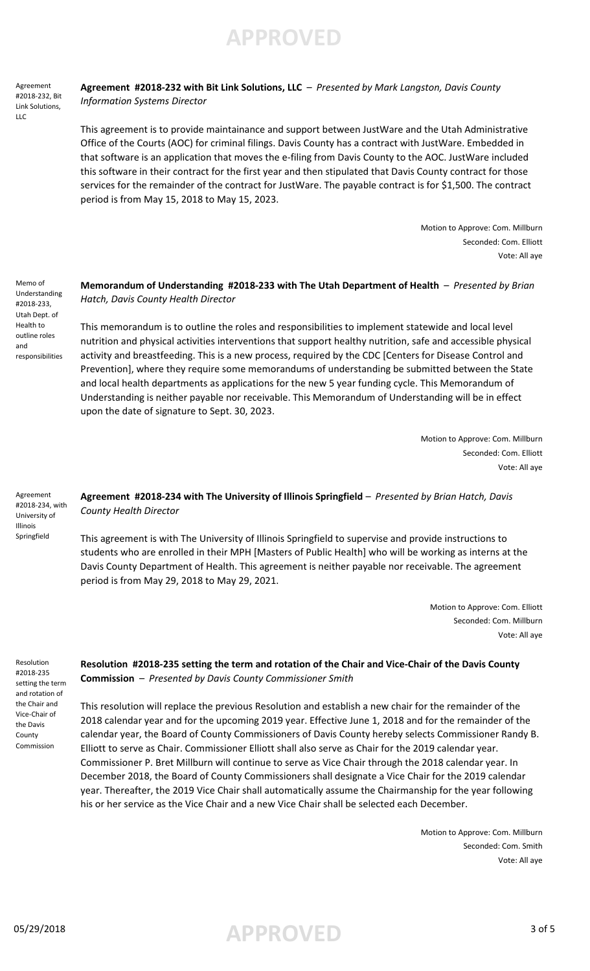**APPROVED**

Agreement #2018-232, Bit Link Solutions, LLC

### **Agreement #2018-232 with Bit Link Solutions, LLC** – *Presented by Mark Langston, Davis County Information Systems Director*

This agreement is to provide maintainance and support between JustWare and the Utah Administrative Office of the Courts (AOC) for criminal filings. Davis County has a contract with JustWare. Embedded in that software is an application that moves the e-filing from Davis County to the AOC. JustWare included this software in their contract for the first year and then stipulated that Davis County contract for those services for the remainder of the contract for JustWare. The payable contract is for \$1,500. The contract period is from May 15, 2018 to May 15, 2023.

> Motion to Approve: Com. Millburn Seconded: Com. Elliott Vote: All aye

**Memorandum of Understanding #2018-233 with The Utah Department of Health** – *Presented by Brian Hatch, Davis County Health Director*

#2018-233, Utah Dept. of Health to outline roles and responsibilities

Memo of Understanding

> This memorandum is to outline the roles and responsibilities to implement statewide and local level nutrition and physical activities interventions that support healthy nutrition, safe and accessible physical activity and breastfeeding. This is a new process, required by the CDC [Centers for Disease Control and Prevention], where they require some memorandums of understanding be submitted between the State and local health departments as applications for the new 5 year funding cycle. This Memorandum of Understanding is neither payable nor receivable. This Memorandum of Understanding will be in effect upon the date of signature to Sept. 30, 2023.

> > Motion to Approve: Com. Millburn Seconded: Com. Elliott Vote: All aye

Agreement #2018-234, with University of Illinois Springfield

### **Agreement #2018-234 with The University of Illinois Springfield** – *Presented by Brian Hatch, Davis County Health Director*

This agreement is with The University of Illinois Springfield to supervise and provide instructions to students who are enrolled in their MPH [Masters of Public Health] who will be working as interns at the Davis County Department of Health. This agreement is neither payable nor receivable. The agreement period is from May 29, 2018 to May 29, 2021.

> Motion to Approve: Com. Elliott Seconded: Com. Millburn Vote: All aye

Resolution #2018-235 setting the term and rotation of the Chair and Vice-Chair of the Davis County Commission

### **Resolution #2018-235 setting the term and rotation of the Chair and Vice-Chair of the Davis County Commission** – *Presented by Davis County Commissioner Smith*

This resolution will replace the previous Resolution and establish a new chair for the remainder of the 2018 calendar year and for the upcoming 2019 year. Effective June 1, 2018 and for the remainder of the calendar year, the Board of County Commissioners of Davis County hereby selects Commissioner Randy B. Elliott to serve as Chair. Commissioner Elliott shall also serve as Chair for the 2019 calendar year. Commissioner P. Bret Millburn will continue to serve as Vice Chair through the 2018 calendar year. In December 2018, the Board of County Commissioners shall designate a Vice Chair for the 2019 calendar year. Thereafter, the 2019 Vice Chair shall automatically assume the Chairmanship for the year following his or her service as the Vice Chair and a new Vice Chair shall be selected each December.

> Motion to Approve: Com. Millburn Seconded: Com. Smith Vote: All aye

## 05/29/2018 **APPROVED** 3 of 5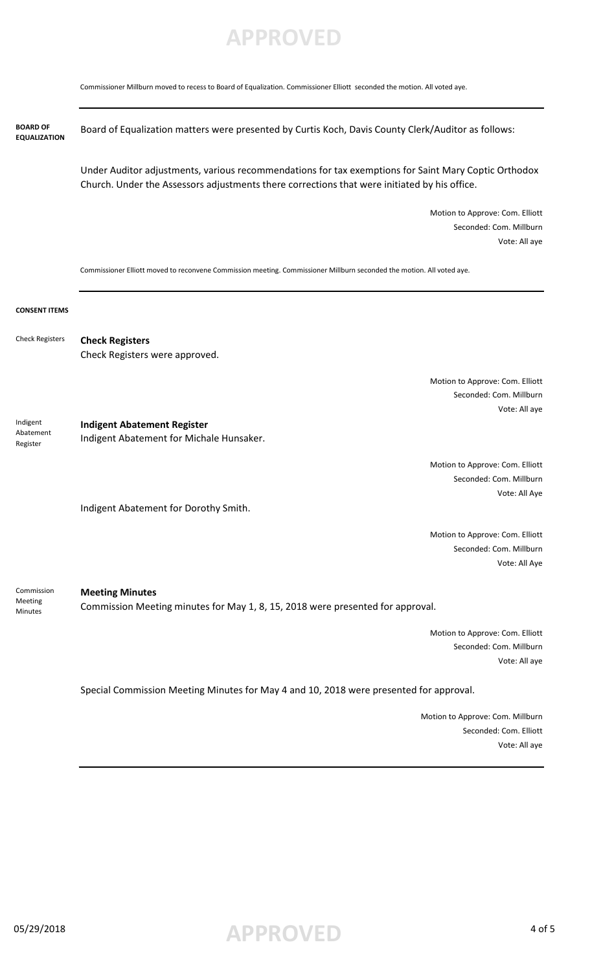# **APPROVED**

Commissioner Millburn moved to recess to Board of Equalization. Commissioner Elliott seconded the motion. All voted aye.

Board of Equalization matters were presented by Curtis Koch, Davis County Clerk/Auditor as follows: **BOARD OF EQUALIZATION**

> Under Auditor adjustments, various recommendations for tax exemptions for Saint Mary Coptic Orthodox Church. Under the Assessors adjustments there corrections that were initiated by his office.

> > Motion to Approve: Com. Elliott Seconded: Com. Millburn Vote: All aye

Commissioner Elliott moved to reconvene Commission meeting. Commissioner Millburn seconded the motion. All voted aye.

#### **CONSENT ITEMS**

**Check Registers** Check Registers were approved. Check Registers

> Motion to Approve: Com. Elliott Seconded: Com. Millburn Vote: All aye

**Indigent Abatement Register** Indigent Abatement for Michale Hunsaker. Indigent Abatement Register

> Motion to Approve: Com. Elliott Seconded: Com. Millburn Vote: All Aye

Indigent Abatement for Dorothy Smith.

Motion to Approve: Com. Elliott Seconded: Com. Millburn Vote: All Aye

**Meeting Minutes** Commission Meeting minutes for May 1, 8, 15, 2018 were presented for approval. Commission Meeting Minutes

> Motion to Approve: Com. Elliott Seconded: Com. Millburn Vote: All aye

Special Commission Meeting Minutes for May 4 and 10, 2018 were presented for approval.

Motion to Approve: Com. Millburn Seconded: Com. Elliott Vote: All aye